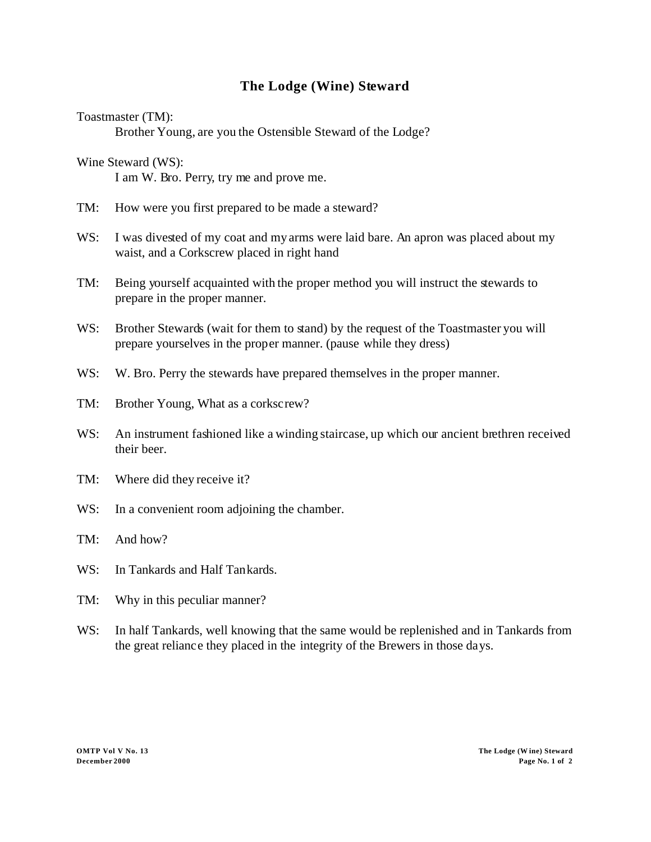## **The Lodge (Wine) Steward**

Toastmaster (TM):

Brother Young, are you the Ostensible Steward of the Lodge?

Wine Steward (WS): I am W. Bro. Perry, try me and prove me.

- TM: How were you first prepared to be made a steward?
- WS: I was divested of my coat and my arms were laid bare. An apron was placed about my waist, and a Corkscrew placed in right hand
- TM: Being yourself acquainted with the proper method you will instruct the stewards to prepare in the proper manner.
- WS: Brother Stewards (wait for them to stand) by the request of the Toastmaster you will prepare yourselves in the proper manner. (pause while they dress)
- W. W. Bro. Perry the stewards have prepared themselves in the proper manner.
- TM: Brother Young, What as a corkscrew?
- WS: An instrument fashioned like a winding staircase, up which our ancient brethren received their beer.
- TM: Where did they receive it?
- W.S: In a convenient room adjoining the chamber.
- TM: And how?
- WS: In Tankards and Half Tankards.
- TM: Why in this peculiar manner?
- WS: In half Tankards, well knowing that the same would be replenished and in Tankards from the great reliance they placed in the integrity of the Brewers in those days.